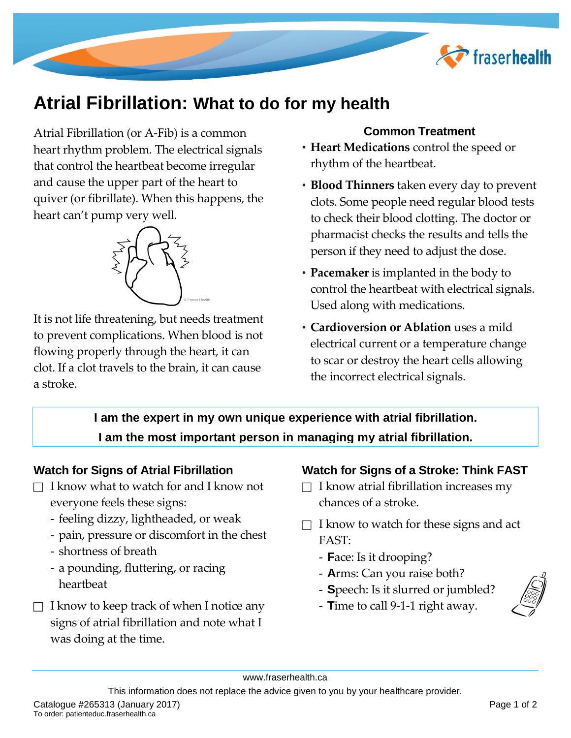

# **Atrial Fibrillation: What to do for my health**

Atrial Fibrillation (or A-Fib) is a common heart rhythm problem. The electrical signals that control the heartbeat become irregular and cause the upper part of the heart to quiver (or fibrillate). When this happens, the heart can't pump very well.



It is not life threatening, but needs treatment to prevent complications. When blood is not flowing properly through the heart, it can clot. If a clot travels to the brain, it can cause a stroke.

# **Common Treatment**

- **Heart Medications** control the speed or rhythm of the heartbeat.
- **Blood Thinners** taken every day to prevent clots. Some people need regular blood tests to check their blood clotting. The doctor or pharmacist checks the results and tells the person if they need to adjust the dose.
- **Pacemaker** is implanted in the body to control the heartbeat with electrical signals. Used along with medications.
- **Cardioversion or Ablation** uses a mild electrical current or a temperature change to scar or destroy the heart cells allowing the incorrect electrical signals.

**I am the expert in my own unique experience with atrial fibrillation. I am the most important person in managing my atrial fibrillation.**

## **Watch for Signs of Atrial Fibrillation**

- $\Box$  I know what to watch for and I know not everyone feels these signs:
	- feeling dizzy, lightheaded, or weak
	- pain, pressure or discomfort in the chest
	- shortness of breath
	- a pounding, fluttering, or racing heartbeat
- $\Box$  I know to keep track of when I notice any signs of atrial fibrillation and note what I was doing at the time.

# **Watch for Signs of a Stroke: Think FAST**

- $\Box$  I know atrial fibrillation increases my chances of a stroke.
- $\Box$  I know to watch for these signs and act FAST:
	- **F**ace: Is it drooping?
	- **A**rms: Can you raise both?
	- **S**peech: Is it slurred or jumbled?
	- **T**ime to call 9-1-1 right away.



This information does not replace the advice given to you by your healthcare provider.